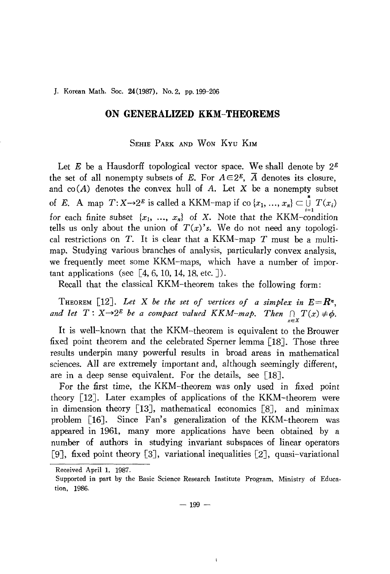J. Korean Math. Soc. 24(1987), No. 2, pp. 199-206

## **ON GENERALIZED KKM-THEOREMS**

## SEHIE PARK AND WON KYU KIM

Let E be a Hausdorff topological vector space. We shall denote by  $2^E$ the set of all nonempty subsets of E. For  $A \in 2<sup>E</sup>$ ,  $\overline{A}$  denotes its closure, and  $co(A)$  denotes the convex hull of A. Let X be a nonempty subset of *E*. A map  $T: X \rightarrow 2^E$  is called a KKM-map if co  $\{x_1, ..., x_n\} \subset \bigcup_{i=1}^n T(x_i)$ for each finite subset  $\{x_1, \ldots, x_n\}$  of X. Note that the KKM-condition tells us only about the union of  $T(x)$ 's. We do not need any topological restrictions on  $T$ . It is clear that a KKM-map  $T$  must be a multimap. Studying various branches of analysis, particularly convex analysis, we frequently meet some KKM-maps, which have a number of important applications (see  $[4, 6, 10, 14, 18,$  etc.  $]$ ).

Recall that the classical KKM-theorem takes the following form:

THEOREM [12]. Let X be the set of vertices of a simplex in  $E=R^n$ , and let  $T: X \rightarrow 2^E$  be a compact valued KKM-map. Then  $\bigcap_{x \in X} T(x) \neq \emptyset$ .

It is well-known that the KKM-theorem is equivalent to the Brouwer fixed point theorem and the celebrated Sperner lemma [18]. Those three results underpin many powerful results in broad areas in mathematical sciences. All are extremely important and, although seemingly different, are in a deep sense equivalent. For the details, see [18J.

For the first time, the KKM-theorem was only used in fixed point theory [12]. Later examples of applications of the KKM-theorem were in dimension theory [13J, mathematical economics [8J, and minimax problem [16J. Since Fan's generalization of the KKM-theorem was appeared in 1961, many more applications have been obtained by a number of authors in studying invariant subspaces of linear operators [9], fixed point theory [3], variational inequalities [2], quasi-variational

ł

Received April 1, 1987.

Supported in part by the Basic Science Research Institute Program, Ministry of Education, 1986.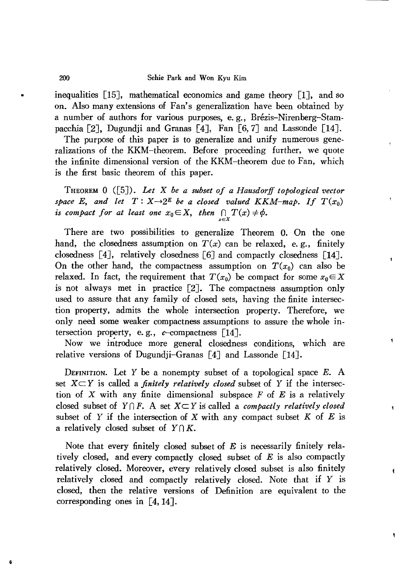inequalities [15], mathematical economics and game theory [1], and so on. Also many extensions of Fan's generalization have been obtained by a number of authors for various purposes, e.g., Brézis-Nirenberg-Stampacchia [2], Dugundji and Granas [4], Fan [6,7] and Lassonde [14].

The purpose of this paper is to generalize and unify numerous generalizations of the KKM-theorem. Before proceeding further, we quote the infinite dimensional version of the KKM-theorem due to Fan, which is the first basic theorem of this paper.

THEOREM 0 ([5J). *Let* X *be a subset of a Hausdorff topological vector space E*, and let  $T: X \rightarrow 2^E$  *be a closed valued KKM-map.* If  $T(x_0)$ *is compact for at least one*  $x_0 \in X$ , *then*  $\bigcap_{x \in X} T(x) \neq \emptyset$ .

There are two possibilities to generalize Theorem O. On the one hand, the closedness assumption on  $T(x)$  can be relaxed, e.g., finitely closedness [4J, relatively closedness [6J and compactly closedness [l4J. On the other hand, the compactness assumption on  $T(x_0)$  can also be relaxed. In fact, the requirement that  $T(x_0)$  be compact for some  $x_0 \in X$ is not always met in practice [2]. The compactness assumption only used to assure that any family of closed sets, having the finite intersection property, admits the whole intersection property. Therefore, we only need some weaker compactness assumptions to assure the whole intersection property, e.g.,  $c$ -compactness [14].

Now we introduce more general closedness conditions, which are relative versions of Dugundji-Granas  $\lceil 4 \rceil$  and Lassonde  $\lceil 14 \rceil$ .

DEFINITION. Let *Y* be a nonempty subset of a topological space *E.* A set  $X \subset Y$  is called a *finitely relatively closed* subset of Y if the intersection of X with any finite dimensional subspace  $F$  of  $E$  is a relatively closed subset of  $Y \cap F$ . A set  $X \subseteq Y$  is called a *compactly relatively closed* subset of Y if the intersection of X with any compact subset K of E is a relatively closed subset of  $Y \cap K$ .

Note that every finitely closed subset of  $E$  is necessarily finitely relatively closed, and every compactly closed subset of  $E$  is also compactly relatively closed. Moreover, every relatively closed subset is also finitely relatively closed and compactly relatively closed. Note that if Y is closed, then the relative versions of Definition are equivalent to the corresponding ones in [4,14].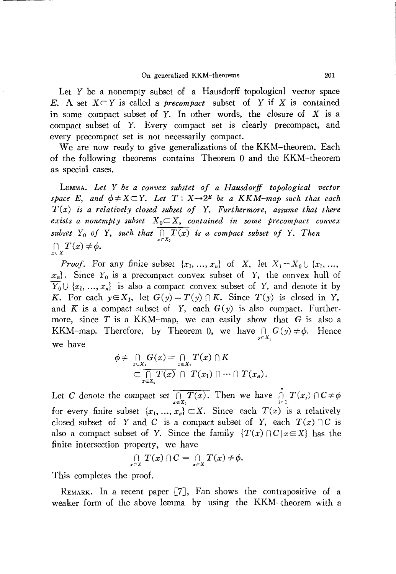Let Y be a nonempty subset of a Hausdorff topological vector space E. A set  $X \subset Y$  is called a *precompact* subset of Y if X is contained in some compact subset of  $Y$ . In other words, the closure of  $X$  is a compact subset of Y. Every compact set is clearly precompact, and every precompact set is not necessarily compact.

We are now ready to give generalizations of the KKM-theorem. Each<br>the following theorems contains Theorem 0 and the KKM-theorem of the following theorems contains Theorem 0 and the KKM-theorem as special cases.

LEMMA. *Let* Y *be a convex substet of a Hausdorff topological vector space* E, and  $\phi \neq X \subseteq Y$ . Let  $T: X \rightarrow 2^E$  be a KKM-map such that each *T(x) is a relatively closed subset of* Y. *Furthermore, assume that there exists a nonempty subset*  $X_0 \subset X$ , *contained in some precompact convex subset*  $Y_0$  *of*  $Y$ , *such that*  $\prod_{x \in X_0} T(x)$  *is a compact subset of*  $Y$ . *Then*  $\bigcap_{x\in X}T(x)\neq \phi.$ 

*Proof.* For any finite subset  $\{x_1, ..., x_n\}$  of X, let  $X_1 = X_0 \cup \{x_1, ..., x_n\}$  $x_n$ ). Since Y<sub>0</sub> is a precompact convex subset of Y, the convex hull of  $\overline{Y_0} \cup \{x_1, ..., x_n\}$  is also a compact convex subset of *Y*, and denote it by *K.* For each  $y \in X_1$ , let  $G(y) = T(y) \cap K$ . Since  $T(y)$  is closed in *Y*, and *K* is a compact subset of *Y*, each  $G(y)$  is also compact. Furthermore, since  $T$  is a KKM-map, we can easily show that  $G$  is also a KKM-map. Therefore, by Theorem 0, we have  $\bigcap_{y \in X_1} G(y) \neq \phi$ . Hence we have

$$
\phi \neq \bigcap_{x \in X_1} G(x) = \bigcap_{x \in X_1} T(x) \cap K
$$
  
\n
$$
\subset \bigcap_{x \in X_0} \overline{T(x)} \cap T(x_1) \cap \cdots \cap T(x_n).
$$

Let C denote the compact set  $\prod_{x \in X_0} T(x)$ . Then we have  $\prod_{i=1}^n T(x_i) \cap C \neq \emptyset$ for every finite subset  $\{x_1, ..., x_n\} \subset X$ . Since each  $T(x)$  is a relatively closed subset of Y and C is a compact subset of Y, each  $T(x) \cap C$  is also a compact subset of *Y*. Since the family  $\{T(x) \cap C | x \in X\}$  has the finite intersection property, we have

$$
\bigcap_{x\in X}T(x)\cap C=\bigcap_{x\in X}T(x)\neq\phi.
$$

This completes the proof.

REMARK. In a recent paper  $[7]$ , Fan shows the contrapositive of a weaker form of the above lemma by using the KKM-theorem with a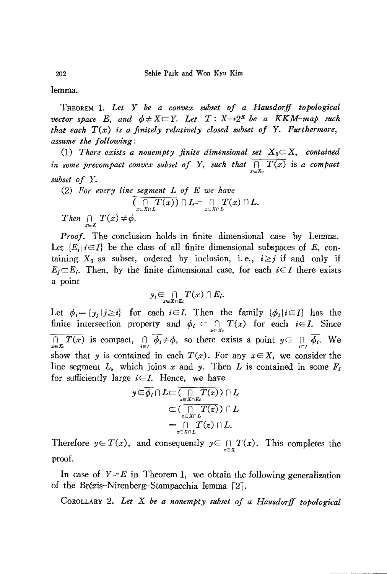lemma.

THEOREM 1. *Let* Y *be a convex subset of a Hausdorff topological vector space* E, and  $\phi \neq X \subseteq Y$ . Let  $T: X \rightarrow 2^E$  be a KKM-map such *that each T(x) is a finitely relatively closed subset of* Y. *Furthermore, assume the following:*

(1) There exists a nonempty finite dimensional set  $X_0 \subset X$ , contained *in* some precompact convex subset of Y, such that  $\prod_{x \in Y} T(x)$  is a compact *subset of* Y.

(2) *For every line segment L of* E *we have*  $\overline{(\bigcap\limits_{x\in X\cap L}T(x))}\cap L=\bigcap\limits_{x\in X\cap L}T(x)\cap L.$ *Then*  $\bigcap_{x \in X} T(x) \neq \emptyset$ .

*Proof.* The conclusion holds in finite dimensional case by Lemma. Let  ${E_i | i \in I}$  be the class of all finite dimensional subspaces of *E*, containing  $X_0$  as subset, ordered by inclusion, i.e.,  $i \geq j$  if and only if  $E_j \subset E_i$ . Then, by the finite dimensional case, for each  $i \in I$  there exists a point

$$
y_i\mathop{\subseteq}\limits_{x\in X\cap E_i}T(x)\cap E_i.
$$

Let  $\phi_i = \{y_j | j \ge i\}$  for each  $i \in I$ . Then the family  $\{\phi_i | i \in I\}$  has the finite intersection property and  $\phi_i \subset \bigcap_{x \in X_0} T(x)$  for each  $i \in I$ . Since  $\prod_{x \in X_0} T(x)$  is compact,  $\bigcap_{i \in I} \overline{\phi_i} \neq \phi$ , so there exists a point  $y \in \bigcap_{i \in I} \overline{\phi_i}$ . We show that *y* is contained in each  $T(x)$ . For any  $x \in X$ , we consider the line segment L, which joins x and y. Then L is contained in some  $F_i$ for sufficiently large  $i \in I$ . Hence, we have

$$
y \in \overline{\phi_i} \cap L \subset \overline{(\bigcap_{z \in X \cap L} T(z))} \cap L
$$
  

$$
\subset (\overline{\bigcap_{z \in X \cap L} T(z)}) \cap L
$$
  

$$
= \bigcap_{z \in X \cap L} T(z) \cap L.
$$

Therefore  $y \in T(x)$ , and consequently  $y \in \bigcap_{x \in X} T(x)$ . This completes the proof.

In case of  $Y=E$  in Theorem 1, we obtain the following generalization of the Brezis-Nirenberg-Stampacchia lemma [2J.

COROLLARY 2. *Let* X *be a nonempty subset of a Hausdorff topological*

202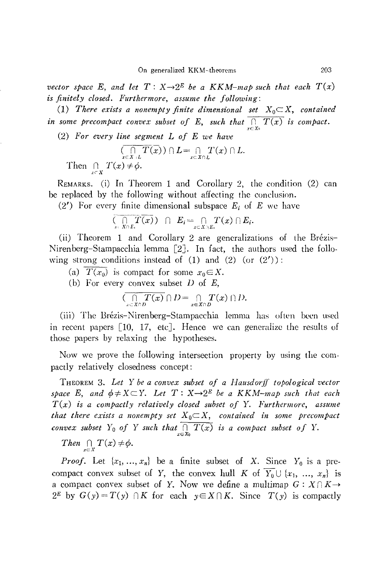*vector space*  $E$ *, and let*  $T: X \rightarrow 2^E$  *be a KKM-map such that each*  $T(x)$ *is finitely closed. Furthermore, assume the following:*

(1) *There exists a nonempty finite dimensional set*  $X_0 \subset X$ , *contained in* some precompact convex subset of E, such that  $\prod_{x \in X} T(x)$  is compact.

(2) *For every line segment L of* E *we have*

$$
\overline{\bigcap_{x \in X \setminus L} T(x)} \cap L = \bigcap_{x \in X \cap L} T(x) \cap L.
$$
  
Then  $\bigcap_{x \in X} T(x) \neq \phi$ .

REMARKS. (i) In Theorem 1 and Corollary 2, the condition (2) can be replaced by the following without affecting the conclusion.

(2') For every finite dimensional subspace *E;* of *E* we have

$$
\overline{(\bigcap_{x\in X\cap E_i}T(x))} \cap E_i = \bigcap_{x\in X\cap E_i}T(x) \cap E_i.
$$

(ii) Theorem 1 and Corollary 2 are generalizations of the Brézis-Nirenberg-Stampacchia lemma  $\lceil 2 \rceil$ . In fact, the authors used the following strong conditions instead of  $(1)$  and  $(2)$   $($ or  $(2')$  $):$ 

(a)  $T(x_0)$  is compact for some  $x_0 \in X$ .

(b) For every convex subset  $D$  of  $E$ ,

$$
\overline{(\bigcap_{x \in X \cap D} T(x)} \cap D = \bigcap_{x \in X \cap D} T(x) \cap D.
$$

(iii) The Brézis-Nirenberg-Stampacchia lemma has often been used in recent papers [10, 17, etc]. Hence we can generalize the results of those papers by relaxing the hypotheses.

Now we prove the following intersection property by using the compactly relatively closedness concept:

THEOREM 3. Let Y be a convex subset of a Hausdorff topological vector *space* E, and  $\phi \neq X \subset Y$ . Let  $T: X \rightarrow 2^E$  be a KKM-map such that each *T(x) is a compactly relatively closed subset of* Y. *Furthermore, assume that there exists a nonempty set*  $X_0 \subset X$ , *contained in some precompact convex subset*  $Y_0$  *of*  $Y$  *such that*  $\prod_{x \in X_0} T(x)$  *is a compact subset of*  $Y$ .

*Then*  $\bigcap_{x \in X} T(x) \neq \phi$ .

*Proof.* Let  $\{x_1, ..., x_n\}$  be a finite subset of X. Since  $Y_0$  is a precompact convex subset of Y, the convex hull K of  $\overline{Y_0} \cup \{x_1, ..., x_n\}$  is a compact convex subset of Y. Now we define a multimap  $G: X \cap K \rightarrow$ 2<sup>E</sup> by  $G(y) = T(y) \cap K$  for each  $y \in X \cap K$ . Since  $T(y)$  is compactly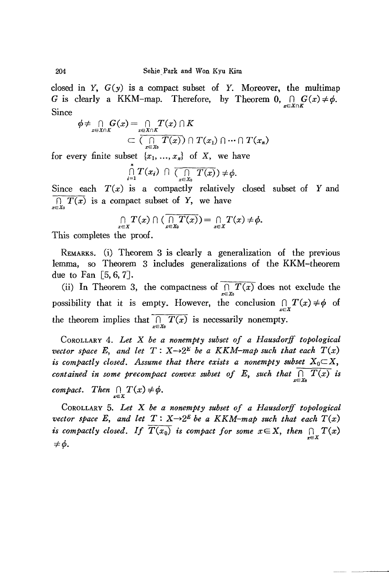closed in  $Y$ ,  $G(y)$  is a compact subset of Y. Moreover, the multimap G is clearly a KKM-map. Therefore, by Theorem  $0, \bigcap_{x \in X \cap K} G(x) \neq \emptyset$ . Since

$$
\phi \neq \bigcap_{x \in X \cap K} G(x) = \bigcap_{x \in X \cap K} T(x) \cap K
$$
  

$$
\subset \overline{(\bigcap_{x \in X_0} T(x))} \cap T(x_1) \cap \cdots \cap T(x_n)
$$

for every finite subset  $\{x_1, ..., x_n\}$  of X, we have

$$
\bigcap_{i=1}^n T(x_i) \cap \overline{(\bigcap_{x \in X_0} T(x))} \neq \phi.
$$

Since each  $T(x)$  is a compactly relatively closed subset of Y and  $\overline{f(x)}$  is a compact subset of Y, we have

$$
\bigcap_{x\in X}T(x)\cap(\overline{\bigcap_{x\in X_0}T(x)})=\bigcap_{x\in X}T(x)\neq\phi.
$$

This completes the proof.

REMARKS. (i) Theorem 3 is clearly a generalization of the previous lemma, so Theorem 3 includes generalizations of the KKM-theorem due to Fan  $\lceil 5, 6, 7 \rceil$ .

(ii) In Theorem 3, the compactness of  $\prod_{x \in X_0} T(x)$  does not exclude the possibility that it is empty. However, the conclusion  $\bigcap_{x \in \mathcal{F}} T(x) \neq \emptyset$  of the theorem implies that  $\prod_{x \in X_0} T(x)$  is necessarily nonempty.

COROLLARY 4. *Let* X *be a nonempty subset of a Hausdorff topological vector space* E, and let  $T: X \rightarrow 2^E$  be a KKM-map such that each  $T(x)$ *is compactly closed.* Assume *that there exists a nonempty subset*  $X_0 \subset X$ , *contained in some precompact convex subset of* E, such that  $\overline{\bigcap_{x\in X_0} T(x)}$  is *compact. Then*  $\bigcap_{x \in X} T(x) \neq \emptyset$ .

COROLLARY 5. *Let* X *be a nonempty subset of a Hausdorff topological vector space* E, and let  $T: X \rightarrow 2^E$  *be a*  $KKM$ -map such that each  $T(x)$ *is compactly closed. If*  $\overline{T(x_0)}$  *is compact for some*  $x \in X$ *, then*  $\bigcap_{x \in X} T(x)$   $\neq \emptyset$ *.*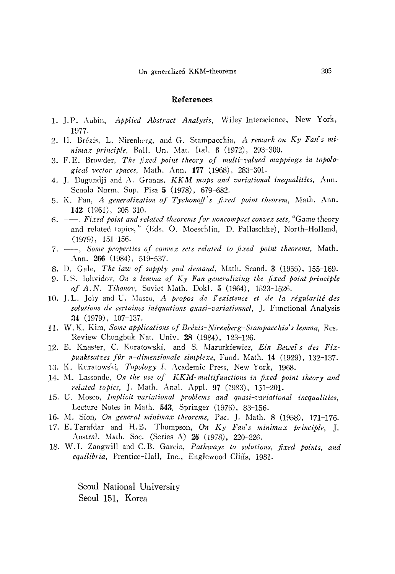## References

- 1. ]. P. Aubin, *Applied Abstract Analysis,* \\'iley-Interscience, New York, 1977-
- 2. II. Brézis, L. Nirenberg, and G. Stampacchia, *A remark on Ky Fan's minima.r principle,* BoIl. Un. Mat. Ital. 6 (1972), 293-300.
- 3. F. E. Browder, *The jixed point theory 0/ multi-'1.'alued mappings in topological vector spaces,* Math. Ann. **177** (1968), 283-301-
- 4. ]. Dugundji and A. Granas, *KKM-maps and variational inequalities,* Ann. Scuola Norm. Sup. Pisa 5 (1978), 679-682.
- 5. K. Fan, *A generalization of Tychonoff's fixed point theorem,* Math. Ann. **142** (1961), 305-310.
- 6. --, *Fixed point and related theorems for 1I0ncompact convex sets,* "Game theory and related topics," (Eds. O. Moeschlin, D. Pallaschke), North-Holland, (1979), 151-156.
- 7. --, *Some properties 0/ convex sets related to fixed point theorems,* Math. Ann. 266 (1984), 519-537.
- 8. D. Gale, *The law of supply and demand,* 1\lath. Scand. 3 (1955), 155-169.
- 9. 1. S. Iohvidov, *On a lemma 0/ Ky Fan generalizing the fixed point principle 0/ A. N. Tihonov,* Soviet 1\lath. Dokl. 5 (1964), 1523-1526.
- 10. J.L. Joly and U. Mosco, *A propos de l'existence et de la régularité des solutions de certaines inequations quasi-varialionnel,* ]. Functional Analysis 34 (1979), 107-137.
- 11. W. K. Kim, *Som.:: applications of Brezis-Nirenberg-Stampacchia's lemma,* Res. Review Chungbuk Nat. Univ. 28 (1984), 123-126.
- 12. B. Knaster, C. Kuratowski, and S. Mazurkiewicz, *Ein Beu'ei* s *des Fixpunktsatzes fur n-dimensionale simplexe,* Fund. 1\lalh. **14** (1929), 132-137.
- 13. K. Kuratowski, *Topology I*, Academic Press, New York, 1968.
- 14. 1\1. Lassonde, *Oil the use of KKM-multi/unctions in fixed point theory and related topics*, J. Math. Anal. Appl. 97 (1983), 151-201.
- 15. U. Mosco, *Implicit variational problems and quasi-variational inequalities,* Lecture Notes in Math. 543, Springer (1976), 83-156.
- 16. M. Sion, *On general minimax theorems,* Pac. ]. Math. 8 (1958), 171-176.
- 17. E.Tarafdar and H.B. Thompson, *On Ky Fan's minimax principle,* ]. Austral. Math. Soc. (Series A) 26 (1978), 220-226.
- 18. W. 1. Zangwill and C. B. Garcia, *Pathways to solutions, fixed points, and equilibria,* Prentice-Hall, Inc., Englewood Cliffs, 1981.

Seoul National University Seoul 151, Korea